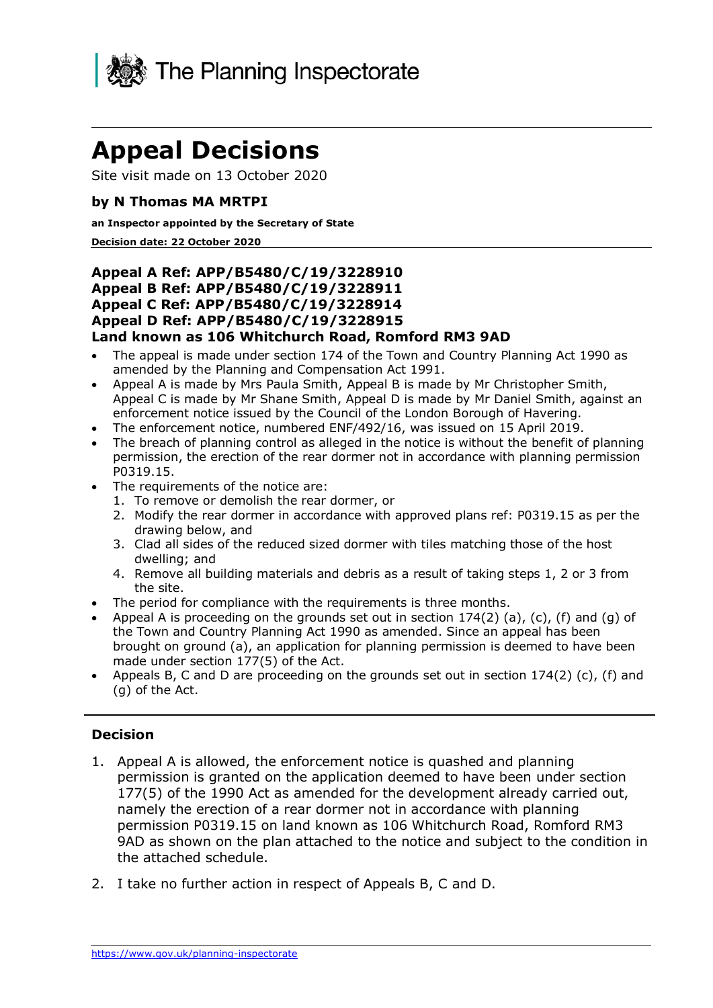

# **Appeal Decisions**

Site visit made on 13 October 2020

#### **by N Thomas MA MRTPI**

#### **an Inspector appointed by the Secretary of State**

#### **Decision date: 22 October 2020**

#### **Appeal B Ref: APP/B5480/C/19/3228911 Appeal C Ref: APP/B5480/C/19/3228914 Appeal D Ref: APP/B5480/C/19/3228915 Land known as 106 Whitchurch Road, Romford RM3 9AD Appeal A Ref: APP/B5480/C/19/3228910**

- • The appeal is made under section 174 of the Town and Country Planning Act 1990 as amended by the Planning and Compensation Act 1991.
- • Appeal A is made by Mrs Paula Smith, Appeal B is made by Mr Christopher Smith, Appeal C is made by Mr Shane Smith, Appeal D is made by Mr Daniel Smith, against an enforcement notice issued by the Council of the London Borough of Havering.
- The enforcement notice, numbered ENF/492/16, was issued on 15 April 2019.
- • The breach of planning control as alleged in the notice is without the benefit of planning permission, the erection of the rear dormer not in accordance with planning permission P0319.15.
- • The requirements of the notice are:
	- 1. To remove or demolish the rear dormer, or
	- 2. Modify the rear dormer in accordance with approved plans ref: P0319.15 as per the drawing below, and
	- 3. Clad all sides of the reduced sized dormer with tiles matching those of the host dwelling; and
	- 4. Remove all building materials and debris as a result of taking steps 1, 2 or 3 from the site.
- The period for compliance with the requirements is three months.
- Appeal A is proceeding on the grounds set out in section  $174(2)$  (a), (c), (f) and (g) of the Town and Country Planning Act 1990 as amended. Since an appeal has been brought on ground (a), an application for planning permission is deemed to have been made under section 177(5) of the Act.
- • Appeals B, C and D are proceeding on the grounds set out in section 174(2) (c), (f) and (g) of the Act.

#### **Decision**

- 1. Appeal A is allowed, the enforcement notice is quashed and planning permission is granted on the application deemed to have been under section 177(5) of the 1990 Act as amended for the development already carried out, namely the erection of a rear dormer not in accordance with planning permission P0319.15 on land known as 106 Whitchurch Road, Romford RM3 9AD as shown on the plan attached to the notice and subject to the condition in the attached schedule.
- 2. I take no further action in respect of Appeals B, C and D.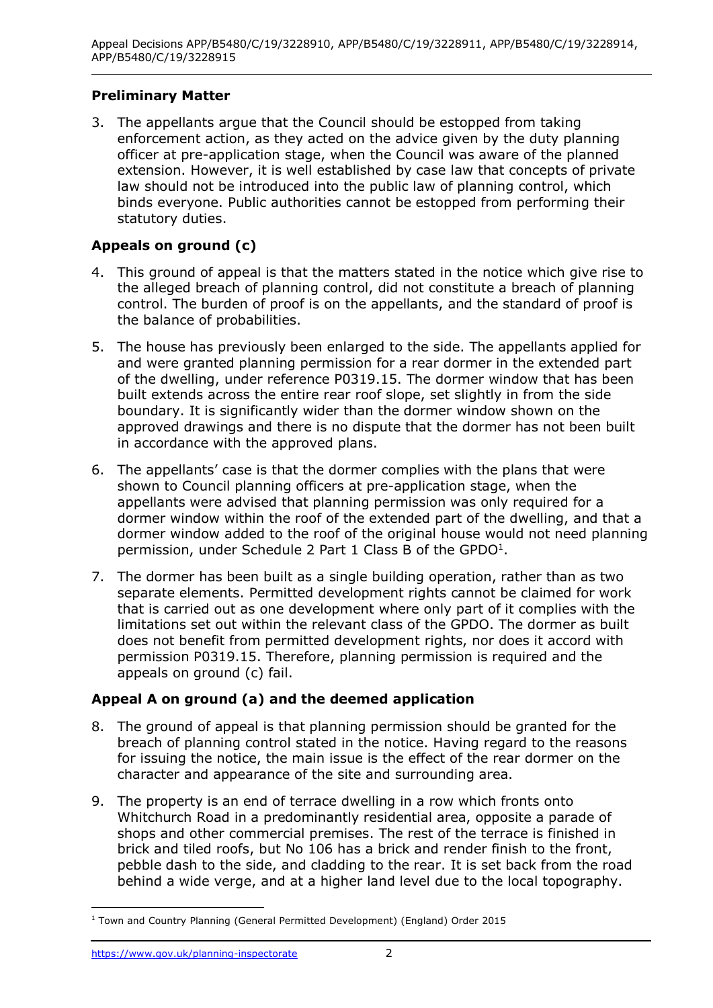## **Preliminary Matter**

 3. The appellants argue that the Council should be estopped from taking enforcement action, as they acted on the advice given by the duty planning officer at pre-application stage, when the Council was aware of the planned extension. However, it is well established by case law that concepts of private law should not be introduced into the public law of planning control, which binds everyone. Public authorities cannot be estopped from performing their statutory duties.

## **Appeals on ground (c)**

- 4. This ground of appeal is that the matters stated in the notice which give rise to the alleged breach of planning control, did not constitute a breach of planning control. The burden of proof is on the appellants, and the standard of proof is the balance of probabilities.
- 5. The house has previously been enlarged to the side. The appellants applied for and were granted planning permission for a rear dormer in the extended part of the dwelling, under reference P0319.15. The dormer window that has been built extends across the entire rear roof slope, set slightly in from the side boundary. It is significantly wider than the dormer window shown on the approved drawings and there is no dispute that the dormer has not been built in accordance with the approved plans.
- 6. The appellants' case is that the dormer complies with the plans that were shown to Council planning officers at pre-application stage, when the appellants were advised that planning permission was only required for a dormer window within the roof of the extended part of the dwelling, and that a dormer window added to the roof of the original house would not need planning permission, under Schedule 2 Part 1 Class B of the GPDO<sup>1</sup>.
- 7. The dormer has been built as a single building operation, rather than as two separate elements. Permitted development rights cannot be claimed for work that is carried out as one development where only part of it complies with the limitations set out within the relevant class of the GPDO. The dormer as built does not benefit from permitted development rights, nor does it accord with permission P0319.15. Therefore, planning permission is required and the appeals on ground (c) fail.

## **Appeal A on ground (a) and the deemed application**

- 8. The ground of appeal is that planning permission should be granted for the breach of planning control stated in the notice. Having regard to the reasons for issuing the notice, the main issue is the effect of the rear dormer on the character and appearance of the site and surrounding area.
- 9. The property is an end of terrace dwelling in a row which fronts onto Whitchurch Road in a predominantly residential area, opposite a parade of shops and other commercial premises. The rest of the terrace is finished in brick and tiled roofs, but No 106 has a brick and render finish to the front, pebble dash to the side, and cladding to the rear. It is set back from the road behind a wide verge, and at a higher land level due to the local topography.

<sup>&</sup>lt;sup>1</sup> Town and Country Planning (General Permitted Development) (England) Order 2015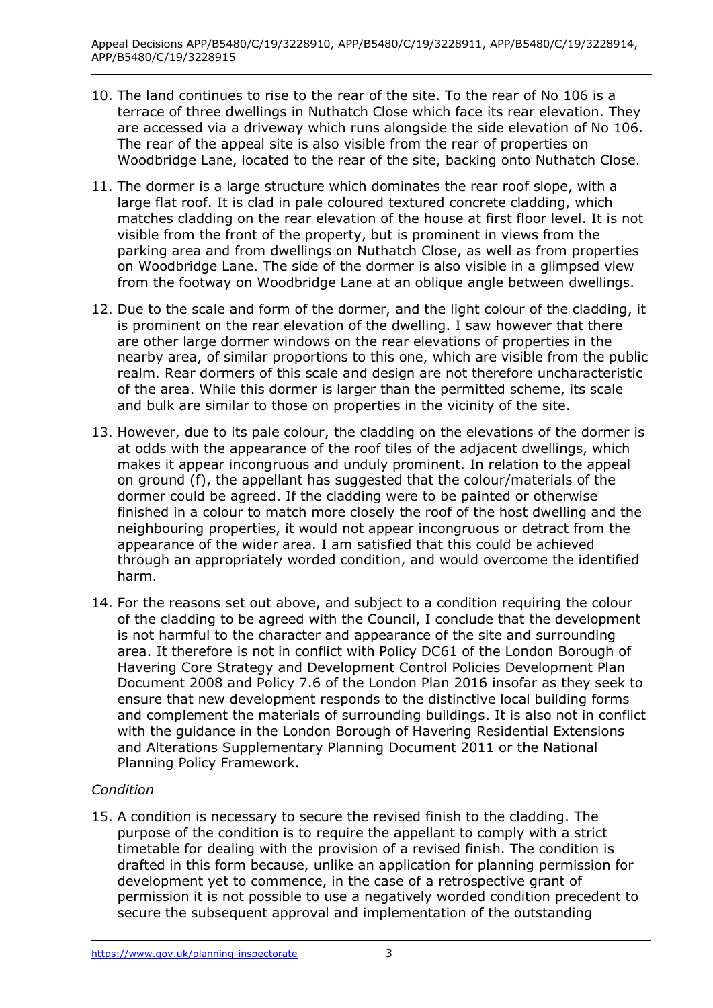- 10. The land continues to rise to the rear of the site. To the rear of No 106 is a terrace of three dwellings in Nuthatch Close which face its rear elevation. They are accessed via a driveway which runs alongside the side elevation of No 106. The rear of the appeal site is also visible from the rear of properties on Woodbridge Lane, located to the rear of the site, backing onto Nuthatch Close.
- 11. The dormer is a large structure which dominates the rear roof slope, with a large flat roof. It is clad in pale coloured textured concrete cladding, which matches cladding on the rear elevation of the house at first floor level. It is not visible from the front of the property, but is prominent in views from the parking area and from dwellings on Nuthatch Close, as well as from properties on Woodbridge Lane. The side of the dormer is also visible in a glimpsed view from the footway on Woodbridge Lane at an oblique angle between dwellings.
- 12. Due to the scale and form of the dormer, and the light colour of the cladding, it is prominent on the rear elevation of the dwelling. I saw however that there are other large dormer windows on the rear elevations of properties in the nearby area, of similar proportions to this one, which are visible from the public realm. Rear dormers of this scale and design are not therefore uncharacteristic of the area. While this dormer is larger than the permitted scheme, its scale and bulk are similar to those on properties in the vicinity of the site.
- 13. However, due to its pale colour, the cladding on the elevations of the dormer is at odds with the appearance of the roof tiles of the adjacent dwellings, which makes it appear incongruous and unduly prominent. In relation to the appeal on ground (f), the appellant has suggested that the colour/materials of the dormer could be agreed. If the cladding were to be painted or otherwise finished in a colour to match more closely the roof of the host dwelling and the neighbouring properties, it would not appear incongruous or detract from the appearance of the wider area. I am satisfied that this could be achieved through an appropriately worded condition, and would overcome the identified harm.
- 14. For the reasons set out above, and subject to a condition requiring the colour of the cladding to be agreed with the Council, I conclude that the development is not harmful to the character and appearance of the site and surrounding area. It therefore is not in conflict with Policy DC61 of the London Borough of Havering Core Strategy and Development Control Policies Development Plan Document 2008 and Policy 7.6 of the London Plan 2016 insofar as they seek to ensure that new development responds to the distinctive local building forms and complement the materials of surrounding buildings. It is also not in conflict with the guidance in the London Borough of Havering Residential Extensions and Alterations Supplementary Planning Document 2011 or the National Planning Policy Framework.

## *Condition*

 15. A condition is necessary to secure the revised finish to the cladding. The purpose of the condition is to require the appellant to comply with a strict timetable for dealing with the provision of a revised finish. The condition is drafted in this form because, unlike an application for planning permission for development yet to commence, in the case of a retrospective grant of permission it is not possible to use a negatively worded condition precedent to secure the subsequent approval and implementation of the outstanding